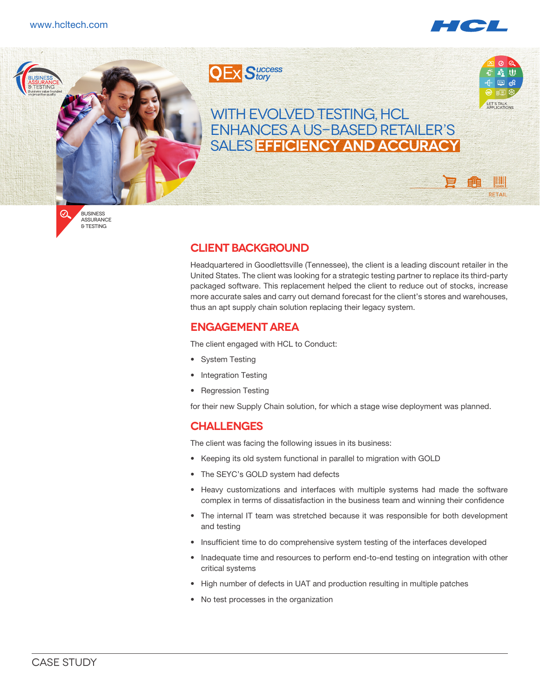



Business  $\varnothing$ Assurance & Testing

# **Client background**

Headquartered in Goodlettsville (Tennessee), the client is a leading discount retailer in the United States. The client was looking for a strategic testing partner to replace its third-party packaged software. This replacement helped the client to reduce out of stocks, increase more accurate sales and carry out demand forecast for the client's stores and warehouses, thus an apt supply chain solution replacing their legacy system.

# **Engagement area**

The client engaged with HCL to Conduct:

- System Testing
- Integration Testing
- Regression Testing

for their new Supply Chain solution, for which a stage wise deployment was planned.

# **Challenges**

The client was facing the following issues in its business:

- • Keeping its old system functional in parallel to migration with GOLD
- The SEYC's GOLD system had defects
- • Heavy customizations and interfaces with multiple systems had made the software complex in terms of dissatisfaction in the business team and winning their confidence
- The internal IT team was stretched because it was responsible for both development and testing
- Insufficient time to do comprehensive system testing of the interfaces developed
- • Inadequate time and resources to perform end-to-end testing on integration with other critical systems
- High number of defects in UAT and production resulting in multiple patches
- • No test processes in the organization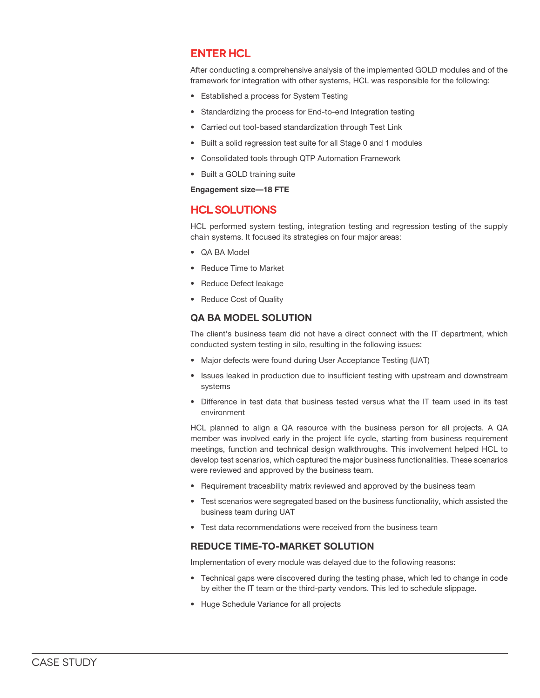# **ENTER HCL**

After conducting a comprehensive analysis of the implemented GOLD modules and of the framework for integration with other systems, HCL was responsible for the following:

- • Established a process for System Testing
- Standardizing the process for End-to-end Integration testing
- Carried out tool-based standardization through Test Link
- Built a solid regression test suite for all Stage 0 and 1 modules
- Consolidated tools through QTP Automation Framework
- • Built a GOLD training suite

**Engagement size—18 FTE**

### **HCL solutions**

HCL performed system testing, integration testing and regression testing of the supply chain systems. It focused its strategies on four major areas:

- • QA BA Model
- • Reduce Time to Market
- • Reduce Defect leakage
- Reduce Cost of Quality

#### **QA BA MODEL SOLUTION**

The client's business team did not have a direct connect with the IT department, which conducted system testing in silo, resulting in the following issues:

- Major defects were found during User Acceptance Testing (UAT)
- Issues leaked in production due to insufficient testing with upstream and downstream systems
- • Difference in test data that business tested versus what the IT team used in its test environment

HCL planned to align a QA resource with the business person for all projects. A QA member was involved early in the project life cycle, starting from business requirement meetings, function and technical design walkthroughs. This involvement helped HCL to develop test scenarios, which captured the major business functionalities. These scenarios were reviewed and approved by the business team.

- Requirement traceability matrix reviewed and approved by the business team
- • Test scenarios were segregated based on the business functionality, which assisted the business team during UAT
- Test data recommendations were received from the business team

#### **REDUCE TIME-TO-MARKET SOLUTION**

Implementation of every module was delayed due to the following reasons:

- Technical gaps were discovered during the testing phase, which led to change in code by either the IT team or the third-party vendors. This led to schedule slippage.
- • Huge Schedule Variance for all projects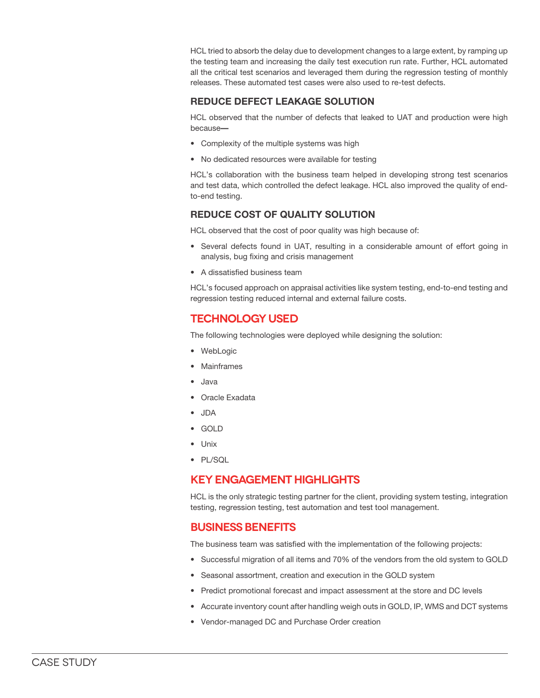HCL tried to absorb the delay due to development changes to a large extent, by ramping up the testing team and increasing the daily test execution run rate. Further, HCL automated all the critical test scenarios and leveraged them during the regression testing of monthly releases. These automated test cases were also used to re-test defects.

### **REDUCE DEFECT LEAKAGE SOLUTION**

HCL observed that the number of defects that leaked to UAT and production were high because**—**

- • Complexity of the multiple systems was high
- No dedicated resources were available for testing

HCL's collaboration with the business team helped in developing strong test scenarios and test data, which controlled the defect leakage. HCL also improved the quality of endto-end testing.

### **REDUCE COST OF QUALITY SOLUTION**

HCL observed that the cost of poor quality was high because of:

- • Several defects found in UAT, resulting in a considerable amount of effort going in analysis, bug fixing and crisis management
- • A dissatisfied business team

HCL's focused approach on appraisal activities like system testing, end-to-end testing and regression testing reduced internal and external failure costs.

# **Technology used**

The following technologies were deployed while designing the solution:

- • WebLogic
- • Mainframes
- • Java
- Oracle Exadata
- • JDA
- • GOLD
- • Unix
- • PL/SQL

# **Key engagement highlights**

HCL is the only strategic testing partner for the client, providing system testing, integration testing, regression testing, test automation and test tool management.

# **Business benefits**

The business team was satisfied with the implementation of the following projects:

- Successful migration of all items and 70% of the vendors from the old system to GOLD
- Seasonal assortment, creation and execution in the GOLD system
- Predict promotional forecast and impact assessment at the store and DC levels
- Accurate inventory count after handling weigh outs in GOLD, IP, WMS and DCT systems
- Vendor-managed DC and Purchase Order creation